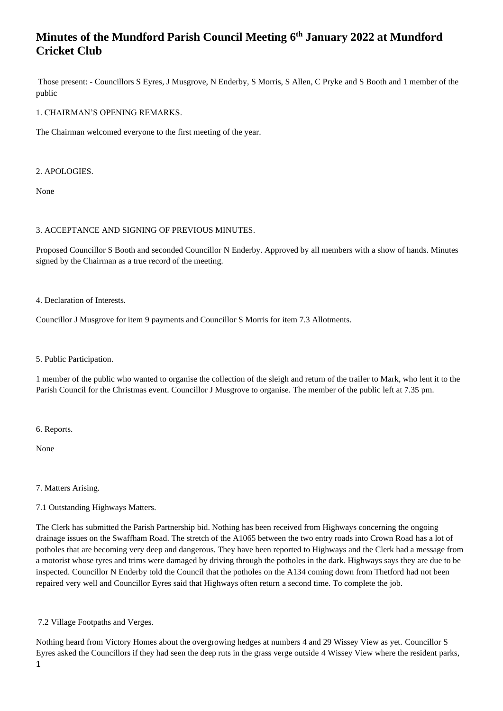Those present: - Councillors S Eyres, J Musgrove, N Enderby, S Morris, S Allen, C Pryke and S Booth and 1 member of the public

1. CHAIRMAN'S OPENING REMARKS.

The Chairman welcomed everyone to the first meeting of the year.

2. APOLOGIES.

None

## 3. ACCEPTANCE AND SIGNING OF PREVIOUS MINUTES.

Proposed Councillor S Booth and seconded Councillor N Enderby. Approved by all members with a show of hands. Minutes signed by the Chairman as a true record of the meeting.

4. Declaration of Interests.

Councillor J Musgrove for item 9 payments and Councillor S Morris for item 7.3 Allotments.

5. Public Participation.

1 member of the public who wanted to organise the collection of the sleigh and return of the trailer to Mark, who lent it to the Parish Council for the Christmas event. Councillor J Musgrove to organise. The member of the public left at 7.35 pm.

6. Reports.

None

7. Matters Arising.

7.1 Outstanding Highways Matters.

The Clerk has submitted the Parish Partnership bid. Nothing has been received from Highways concerning the ongoing drainage issues on the Swaffham Road. The stretch of the A1065 between the two entry roads into Crown Road has a lot of potholes that are becoming very deep and dangerous. They have been reported to Highways and the Clerk had a message from a motorist whose tyres and trims were damaged by driving through the potholes in the dark. Highways says they are due to be inspected. Councillor N Enderby told the Council that the potholes on the A134 coming down from Thetford had not been repaired very well and Councillor Eyres said that Highways often return a second time. To complete the job.

7.2 Village Footpaths and Verges.

1 Nothing heard from Victory Homes about the overgrowing hedges at numbers 4 and 29 Wissey View as yet. Councillor S Eyres asked the Councillors if they had seen the deep ruts in the grass verge outside 4 Wissey View where the resident parks,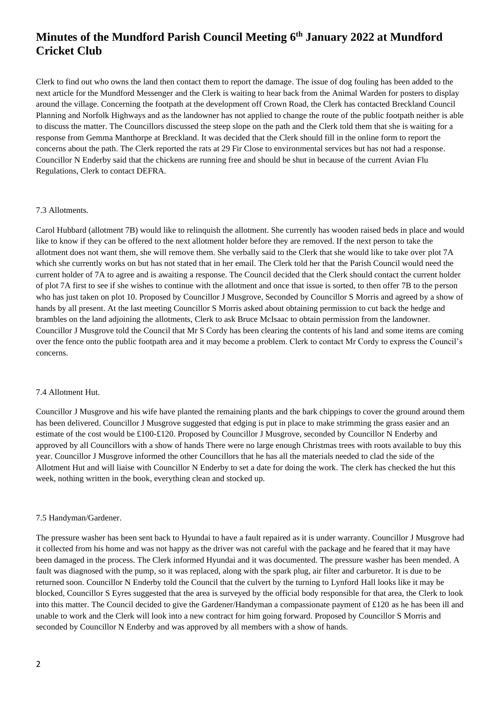Clerk to find out who owns the land then contact them to report the damage. The issue of dog fouling has been added to the next article for the Mundford Messenger and the Clerk is waiting to hear back from the Animal Warden for posters to display around the village. Concerning the footpath at the development off Crown Road, the Clerk has contacted Breckland Council Planning and Norfolk Highways and as the landowner has not applied to change the route of the public footpath neither is able to discuss the matter. The Councillors discussed the steep slope on the path and the Clerk told them that she is waiting for a response from Gemma Manthorpe at Breckland. It was decided that the Clerk should fill in the online form to report the concerns about the path. The Clerk reported the rats at 29 Fir Close to environmental services but has not had a response. Councillor N Enderby said that the chickens are running free and should be shut in because of the current Avian Flu Regulations, Clerk to contact DEFRA.

#### 7.3 Allotments.

Carol Hubbard (allotment 7B) would like to relinquish the allotment. She currently has wooden raised beds in place and would like to know if they can be offered to the next allotment holder before they are removed. If the next person to take the allotment does not want them, she will remove them. She verbally said to the Clerk that she would like to take over plot 7A which she currently works on but has not stated that in her email. The Clerk told her that the Parish Council would need the current holder of 7A to agree and is awaiting a response. The Council decided that the Clerk should contact the current holder of plot 7A first to see if she wishes to continue with the allotment and once that issue is sorted, to then offer 7B to the person who has just taken on plot 10. Proposed by Councillor J Musgrove, Seconded by Councillor S Morris and agreed by a show of hands by all present. At the last meeting Councillor S Morris asked about obtaining permission to cut back the hedge and brambles on the land adjoining the allotments, Clerk to ask Bruce McIsaac to obtain permission from the landowner. Councillor J Musgrove told the Council that Mr S Cordy has been clearing the contents of his land and some items are coming over the fence onto the public footpath area and it may become a problem. Clerk to contact Mr Cordy to express the Council's concerns.

### 7.4 Allotment Hut.

Councillor J Musgrove and his wife have planted the remaining plants and the bark chippings to cover the ground around them has been delivered. Councillor J Musgrove suggested that edging is put in place to make strimming the grass easier and an estimate of the cost would be £100-£120. Proposed by Councillor J Musgrove, seconded by Councillor N Enderby and approved by all Councillors with a show of hands There were no large enough Christmas trees with roots available to buy this year. Councillor J Musgrove informed the other Councillors that he has all the materials needed to clad the side of the Allotment Hut and will liaise with Councillor N Enderby to set a date for doing the work. The clerk has checked the hut this week, nothing written in the book, everything clean and stocked up.

#### 7.5 Handyman/Gardener.

The pressure washer has been sent back to Hyundai to have a fault repaired as it is under warranty. Councillor J Musgrove had it collected from his home and was not happy as the driver was not careful with the package and he feared that it may have been damaged in the process. The Clerk informed Hyundai and it was documented. The pressure washer has been mended. A fault was diagnosed with the pump, so it was replaced, along with the spark plug, air filter and carburetor. It is due to be returned soon. Councillor N Enderby told the Council that the culvert by the turning to Lynford Hall looks like it may be blocked, Councillor S Eyres suggested that the area is surveyed by the official body responsible for that area, the Clerk to look into this matter. The Council decided to give the Gardener/Handyman a compassionate payment of £120 as he has been ill and unable to work and the Clerk will look into a new contract for him going forward. Proposed by Councillor S Morris and seconded by Councillor N Enderby and was approved by all members with a show of hands.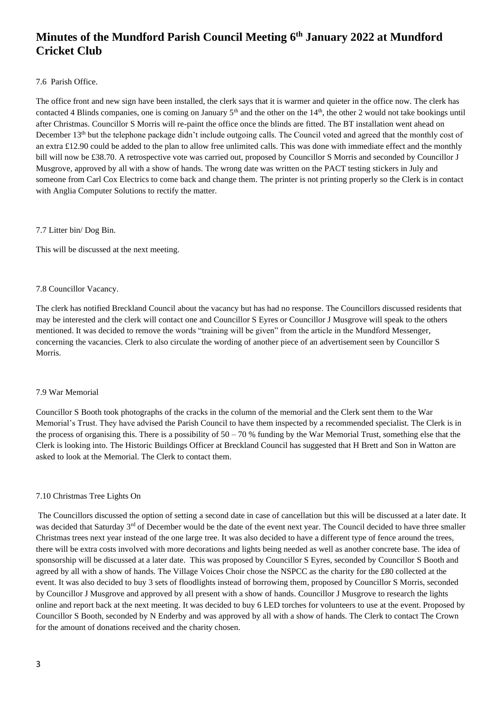## 7.6 Parish Office.

The office front and new sign have been installed, the clerk says that it is warmer and quieter in the office now. The clerk has contacted 4 Blinds companies, one is coming on January  $5<sup>th</sup>$  and the other on the  $14<sup>th</sup>$ , the other 2 would not take bookings until after Christmas. Councillor S Morris will re-paint the office once the blinds are fitted. The BT installation went ahead on December 13<sup>th</sup> but the telephone package didn't include outgoing calls. The Council voted and agreed that the monthly cost of an extra £12.90 could be added to the plan to allow free unlimited calls. This was done with immediate effect and the monthly bill will now be £38.70. A retrospective vote was carried out, proposed by Councillor S Morris and seconded by Councillor J Musgrove, approved by all with a show of hands. The wrong date was written on the PACT testing stickers in July and someone from Carl Cox Electrics to come back and change them. The printer is not printing properly so the Clerk is in contact with Anglia Computer Solutions to rectify the matter.

## 7.7 Litter bin/ Dog Bin.

This will be discussed at the next meeting.

## 7.8 Councillor Vacancy.

The clerk has notified Breckland Council about the vacancy but has had no response. The Councillors discussed residents that may be interested and the clerk will contact one and Councillor S Eyres or Councillor J Musgrove will speak to the others mentioned. It was decided to remove the words "training will be given" from the article in the Mundford Messenger, concerning the vacancies. Clerk to also circulate the wording of another piece of an advertisement seen by Councillor S Morris.

### 7.9 War Memorial

Councillor S Booth took photographs of the cracks in the column of the memorial and the Clerk sent them to the War Memorial's Trust. They have advised the Parish Council to have them inspected by a recommended specialist. The Clerk is in the process of organising this. There is a possibility of  $50 - 70$  % funding by the War Memorial Trust, something else that the Clerk is looking into. The Historic Buildings Officer at Breckland Council has suggested that H Brett and Son in Watton are asked to look at the Memorial. The Clerk to contact them.

### 7.10 Christmas Tree Lights On

The Councillors discussed the option of setting a second date in case of cancellation but this will be discussed at a later date. It was decided that Saturday 3<sup>rd</sup> of December would be the date of the event next year. The Council decided to have three smaller Christmas trees next year instead of the one large tree. It was also decided to have a different type of fence around the trees, there will be extra costs involved with more decorations and lights being needed as well as another concrete base. The idea of sponsorship will be discussed at a later date. This was proposed by Councillor S Eyres, seconded by Councillor S Booth and agreed by all with a show of hands. The Village Voices Choir chose the NSPCC as the charity for the £80 collected at the event. It was also decided to buy 3 sets of floodlights instead of borrowing them, proposed by Councillor S Morris, seconded by Councillor J Musgrove and approved by all present with a show of hands. Councillor J Musgrove to research the lights online and report back at the next meeting. It was decided to buy 6 LED torches for volunteers to use at the event. Proposed by Councillor S Booth, seconded by N Enderby and was approved by all with a show of hands. The Clerk to contact The Crown for the amount of donations received and the charity chosen.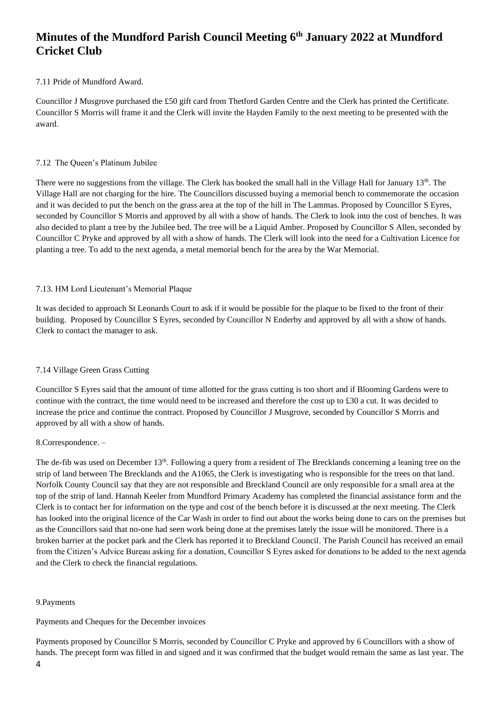## 7.11 Pride of Mundford Award.

Councillor J Musgrove purchased the £50 gift card from Thetford Garden Centre and the Clerk has printed the Certificate. Councillor S Morris will frame it and the Clerk will invite the Hayden Family to the next meeting to be presented with the award.

### 7.12 The Queen's Platinum Jubilee

There were no suggestions from the village. The Clerk has booked the small hall in the Village Hall for January  $13<sup>th</sup>$ . The Village Hall are not charging for the hire. The Councillors discussed buying a memorial bench to commemorate the occasion and it was decided to put the bench on the grass area at the top of the hill in The Lammas. Proposed by Councillor S Eyres, seconded by Councillor S Morris and approved by all with a show of hands. The Clerk to look into the cost of benches. It was also decided to plant a tree by the Jubilee bed. The tree will be a Liquid Amber. Proposed by Councillor S Allen, seconded by Councillor C Pryke and approved by all with a show of hands. The Clerk will look into the need for a Cultivation Licence for planting a tree. To add to the next agenda, a metal memorial bench for the area by the War Memorial.

## 7.13. HM Lord Lieutenant's Memorial Plaque

It was decided to approach St Leonards Court to ask if it would be possible for the plaque to be fixed to the front of their building. Proposed by Councillor S Eyres, seconded by Councillor N Enderby and approved by all with a show of hands. Clerk to contact the manager to ask.

### 7.14 Village Green Grass Cutting

Councillor S Eyres said that the amount of time allotted for the grass cutting is too short and if Blooming Gardens were to continue with the contract, the time would need to be increased and therefore the cost up to £30 a cut. It was decided to increase the price and continue the contract. Proposed by Councillor J Musgrove, seconded by Councillor S Morris and approved by all with a show of hands.

### 8.Correspondence. –

The de-fib was used on December 13<sup>th</sup>. Following a query from a resident of The Brecklands concerning a leaning tree on the strip of land between The Brecklands and the A1065, the Clerk is investigating who is responsible for the trees on that land. Norfolk County Council say that they are not responsible and Breckland Council are only responsible for a small area at the top of the strip of land. Hannah Keeler from Mundford Primary Academy has completed the financial assistance form and the Clerk is to contact her for information on the type and cost of the bench before it is discussed at the next meeting. The Clerk has looked into the original licence of the Car Wash in order to find out about the works being done to cars on the premises but as the Councillors said that no-one had seen work being done at the premises lately the issue will be monitored. There is a broken barrier at the pocket park and the Clerk has reported it to Breckland Council. The Parish Council has received an email from the Citizen's Advice Bureau asking for a donation, Councillor S Eyres asked for donations to be added to the next agenda and the Clerk to check the financial regulations.

### 9.Payments

Payments and Cheques for the December invoices

Payments proposed by Councillor S Morris, seconded by Councillor C Pryke and approved by 6 Councillors with a show of hands. The precept form was filled in and signed and it was confirmed that the budget would remain the same as last year. The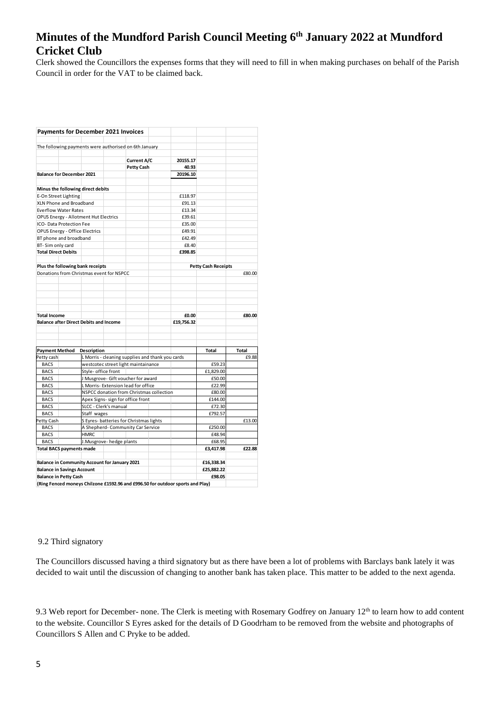Clerk showed the Councillors the expenses forms that they will need to fill in when making purchases on behalf of the Parish Council in order for the VAT to be claimed back.

| <b>Payments for December 2021 Invoices</b>                                     |                                                  |                          |                   |         |            |                            |        |
|--------------------------------------------------------------------------------|--------------------------------------------------|--------------------------|-------------------|---------|------------|----------------------------|--------|
| The following payments were authorised on 6th January                          |                                                  |                          |                   |         |            |                            |        |
|                                                                                |                                                  |                          |                   |         |            |                            |        |
|                                                                                |                                                  |                          | Current A/C       |         | 20155.17   |                            |        |
|                                                                                |                                                  |                          | <b>Petty Cash</b> |         | 40.93      |                            |        |
| <b>Balance for December 2021</b>                                               |                                                  |                          |                   |         | 20196.10   |                            |        |
| Minus the following direct debits                                              |                                                  |                          |                   |         |            |                            |        |
| E-On Street Lighting                                                           |                                                  |                          |                   |         | £118.97    |                            |        |
| XLN Phone and Broadband                                                        |                                                  |                          |                   |         | £91.13     |                            |        |
| <b>Everflow Water Rates</b>                                                    |                                                  |                          |                   |         | £13.34     |                            |        |
| <b>OPUS Energy - Allotment Hut Electrics</b>                                   |                                                  |                          |                   |         | £39.61     |                            |        |
| ICO- Data Protection Fee                                                       |                                                  |                          |                   |         | £35.00     |                            |        |
| OPUS Energy - Office Electrics                                                 |                                                  |                          |                   |         | £49.91     |                            |        |
| BT phone and broadband                                                         |                                                  |                          |                   |         | £42.49     |                            |        |
| BT-Sim only card                                                               |                                                  |                          |                   |         | £8.40      |                            |        |
| <b>Total Direct Debits</b>                                                     |                                                  |                          |                   |         | £398.85    |                            |        |
|                                                                                |                                                  |                          |                   |         |            |                            |        |
| Plus the following bank receipts                                               |                                                  |                          |                   |         |            | <b>Petty Cash Receipts</b> |        |
| Donations from Christmas event for NSPCC                                       |                                                  |                          |                   |         |            |                            | £80.00 |
|                                                                                |                                                  |                          |                   |         |            |                            |        |
|                                                                                |                                                  |                          |                   |         |            |                            |        |
|                                                                                |                                                  |                          |                   |         |            |                            |        |
|                                                                                |                                                  |                          |                   |         |            |                            |        |
|                                                                                |                                                  |                          |                   |         |            |                            |        |
| <b>Total Income</b>                                                            |                                                  |                          |                   |         | £0.00      |                            | £80.00 |
| <b>Balance after Direct Debits and Income</b>                                  |                                                  |                          |                   |         | £19,756.32 |                            |        |
|                                                                                |                                                  |                          |                   |         |            |                            |        |
|                                                                                |                                                  |                          |                   |         |            |                            |        |
| <b>Payment Method</b>                                                          | Description                                      |                          |                   |         |            | Total                      | Total  |
| Petty cash                                                                     | L Morris - cleaning supplies and thank you cards |                          |                   |         |            | £9.88                      |        |
| <b>BACS</b>                                                                    | westcotec street light maintainance              |                          |                   |         | £59.23     |                            |        |
| <b>BACS</b>                                                                    | Style- office front                              |                          |                   |         | £1,829.00  |                            |        |
| <b>BACS</b>                                                                    | J Musgrove- Gift voucher for award               |                          |                   |         | £50.00     |                            |        |
| <b>BACS</b>                                                                    | L Morris-Extension lead for office               |                          |                   | £22.99  |            |                            |        |
| <b>BACS</b>                                                                    | NSPCC donation from Christmas collection         |                          |                   | £80.00  |            |                            |        |
| <b>BACS</b>                                                                    | Apex Signs- sign for office front                |                          |                   | £144.00 |            |                            |        |
| <b>BACS</b>                                                                    | SLCC - Clerk's manual                            |                          |                   | £72.30  |            |                            |        |
| <b>BACS</b>                                                                    | Staff wages                                      |                          |                   | £792.57 |            |                            |        |
| Petty Cash                                                                     | S Eyres- batteries for Christmas lights          |                          |                   |         |            |                            | £13.00 |
| <b>BACS</b>                                                                    | A Shepherd-Community Car Service                 |                          |                   | £250.00 |            |                            |        |
| <b>BACS</b>                                                                    | <b>HMRC</b>                                      |                          |                   |         |            | £48.94                     |        |
| <b>BACS</b>                                                                    |                                                  | J.Musgrove- hedge plants |                   |         |            | £68.95                     |        |
| <b>Total BACS payments made</b>                                                |                                                  |                          |                   |         |            | £3,417.98                  | £22.88 |
|                                                                                |                                                  |                          |                   |         |            |                            |        |
| Balance in Community Account for January 2021                                  |                                                  |                          |                   |         |            | £16,338.34                 |        |
| <b>Balance in Savings Account</b>                                              |                                                  |                          |                   |         | £25,882.22 |                            |        |
| <b>Balance in Petty Cash</b>                                                   |                                                  |                          |                   |         |            | £98.05                     |        |
| (Ring Fenced moneys Chilzone £1592.96 and £996.50 for outdoor sports and Play) |                                                  |                          |                   |         |            |                            |        |

### 9.2 Third signatory

The Councillors discussed having a third signatory but as there have been a lot of problems with Barclays bank lately it was decided to wait until the discussion of changing to another bank has taken place. This matter to be added to the next agenda.

9.3 Web report for December- none. The Clerk is meeting with Rosemary Godfrey on January 12<sup>th</sup> to learn how to add content to the website. Councillor S Eyres asked for the details of D Goodrham to be removed from the website and photographs of Councillors S Allen and C Pryke to be added.